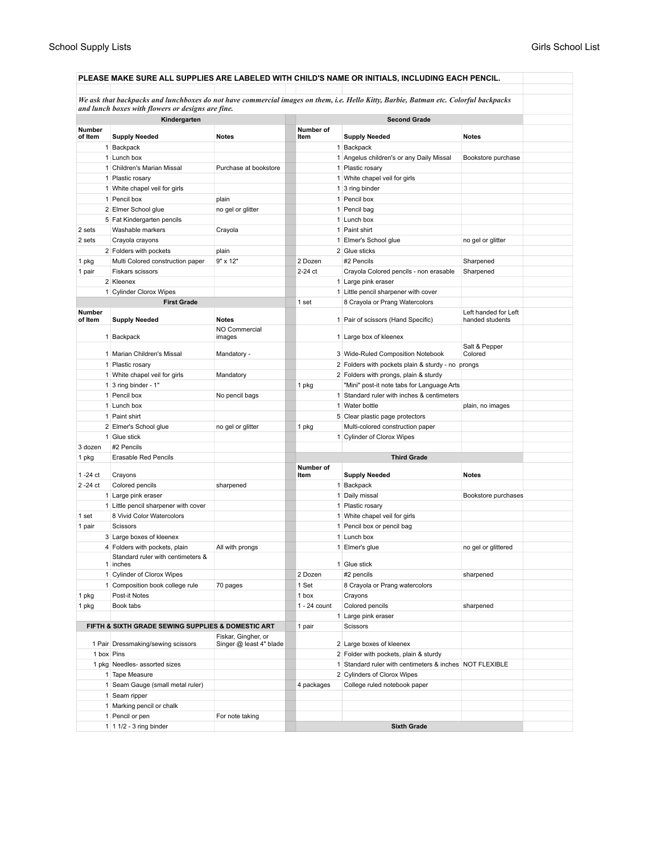|                          |  |                                                    |                                                |                    |  | PLEASE MAKE SURE ALL SUPPLIES ARE LABELED WITH CHILD'S NAME OR INITIALS, INCLUDING EACH PENCIL.                                      |                                         |  |  |
|--------------------------|--|----------------------------------------------------|------------------------------------------------|--------------------|--|--------------------------------------------------------------------------------------------------------------------------------------|-----------------------------------------|--|--|
|                          |  | and lunch boxes with flowers or designs are fine.  |                                                |                    |  | We ask that backpacks and lunchboxes do not have commercial images on them, i.e. Hello Kitty, Barbie, Batman etc. Colorful backpacks |                                         |  |  |
|                          |  | Kindergarten                                       |                                                |                    |  | <b>Second Grade</b>                                                                                                                  |                                         |  |  |
| <b>Number</b><br>of Item |  | <b>Supply Needed</b>                               | <b>Notes</b>                                   | Number of<br>Item  |  | <b>Supply Needed</b>                                                                                                                 | <b>Notes</b>                            |  |  |
|                          |  | 1 Backpack                                         |                                                |                    |  | 1 Backpack                                                                                                                           |                                         |  |  |
|                          |  | 1 Lunch box                                        |                                                |                    |  | 1 Angelus children's or any Daily Missal                                                                                             | Bookstore purchase                      |  |  |
|                          |  | 1 Children's Marian Missal                         | Purchase at bookstore                          |                    |  | 1 Plastic rosary                                                                                                                     |                                         |  |  |
|                          |  | 1 Plastic rosary                                   |                                                |                    |  | 1 White chapel veil for girls                                                                                                        |                                         |  |  |
|                          |  |                                                    |                                                |                    |  |                                                                                                                                      |                                         |  |  |
|                          |  | 1 White chapel veil for girls                      |                                                |                    |  | 1 3 ring binder                                                                                                                      |                                         |  |  |
|                          |  | 1 Pencil box                                       | plain                                          |                    |  | 1 Pencil box                                                                                                                         |                                         |  |  |
|                          |  | 2 Elmer School glue                                | no gel or glitter                              |                    |  | 1 Pencil bag                                                                                                                         |                                         |  |  |
|                          |  | 5 Fat Kindergarten pencils                         |                                                |                    |  | 1 Lunch box                                                                                                                          |                                         |  |  |
| 2 sets                   |  | Washable markers                                   | Crayola                                        |                    |  | 1 Paint shirt                                                                                                                        |                                         |  |  |
| 2 sets                   |  | Crayola crayons                                    |                                                |                    |  | 1 Elmer's School glue                                                                                                                | no gel or glitter                       |  |  |
|                          |  | 2 Folders with pockets                             | plain                                          |                    |  | 2 Glue sticks                                                                                                                        |                                         |  |  |
| 1 pkg                    |  | Multi Colored construction paper                   | 9" x 12"                                       | 2 Dozen            |  | #2 Pencils                                                                                                                           | Sharpened                               |  |  |
| 1 pair                   |  | Fiskars scissors                                   |                                                | 2-24 ct            |  | Crayola Colored pencils - non erasable                                                                                               | Sharpened                               |  |  |
|                          |  | 2 Kleenex                                          |                                                |                    |  | 1 Large pink eraser                                                                                                                  |                                         |  |  |
|                          |  | 1 Cylinder Clorox Wipes                            |                                                |                    |  | 1 Little pencil sharpener with cover                                                                                                 |                                         |  |  |
|                          |  | <b>First Grade</b>                                 |                                                | 1 set              |  | 8 Crayola or Prang Watercolors                                                                                                       |                                         |  |  |
| Number<br>of Item        |  | <b>Supply Needed</b>                               | <b>Notes</b>                                   |                    |  | 1 Pair of scissors (Hand Specific)                                                                                                   | Left handed for Left<br>handed students |  |  |
|                          |  | 1 Backpack                                         | NO Commercial<br>images                        |                    |  | 1 Large box of kleenex                                                                                                               |                                         |  |  |
|                          |  | 1 Marian Children's Missal                         | Mandatory -                                    |                    |  | 3 Wide-Ruled Composition Notebook                                                                                                    | Salt & Pepper<br>Colored                |  |  |
|                          |  | 1 Plastic rosary                                   |                                                |                    |  | 2 Folders with pockets plain & sturdy - no prongs                                                                                    |                                         |  |  |
|                          |  | 1 White chapel veil for girls                      | Mandatory                                      |                    |  | 2 Folders with prongs, plain & sturdy                                                                                                |                                         |  |  |
|                          |  | 1 3 ring binder - $1"$                             |                                                | 1 pkg              |  | "Mini" post-it note tabs for Language Arts                                                                                           |                                         |  |  |
|                          |  | 1 Pencil box                                       | No pencil bags                                 |                    |  | 1 Standard ruler with inches & centimeters                                                                                           |                                         |  |  |
|                          |  | 1 Lunch box                                        |                                                |                    |  | 1 Water bottle                                                                                                                       | plain, no images                        |  |  |
|                          |  | 1 Paint shirt                                      |                                                |                    |  | 5 Clear plastic page protectors                                                                                                      |                                         |  |  |
|                          |  | 2 Elmer's School glue                              | no gel or glitter                              | 1 pkg              |  | Multi-colored construction paper                                                                                                     |                                         |  |  |
|                          |  | 1 Glue stick                                       |                                                |                    |  | 1 Cylinder of Clorox Wipes                                                                                                           |                                         |  |  |
| 3 dozen                  |  | #2 Pencils                                         |                                                |                    |  |                                                                                                                                      |                                         |  |  |
| 1 pkg                    |  | Erasable Red Pencils                               |                                                |                    |  | <b>Third Grade</b>                                                                                                                   |                                         |  |  |
|                          |  |                                                    |                                                | Number of          |  |                                                                                                                                      |                                         |  |  |
| 1 -24 ct                 |  | Crayons                                            |                                                | Item               |  | <b>Supply Needed</b>                                                                                                                 | <b>Notes</b>                            |  |  |
| 2-24 ct                  |  | Colored pencils                                    | sharpened                                      |                    |  | 1 Backpack                                                                                                                           |                                         |  |  |
|                          |  | 1 Large pink eraser                                |                                                |                    |  | 1 Daily missal                                                                                                                       | Bookstore purchases                     |  |  |
|                          |  | 1 Little pencil sharpener with cover               |                                                |                    |  | 1 Plastic rosary                                                                                                                     |                                         |  |  |
| 1 set                    |  | 8 Vivid Color Watercolors                          |                                                |                    |  | 1 White chapel veil for girls                                                                                                        |                                         |  |  |
| 1 pair                   |  | Scissors                                           |                                                |                    |  | 1 Pencil box or pencil bag                                                                                                           |                                         |  |  |
|                          |  | 3 Large boxes of kleenex                           |                                                |                    |  | 1 Lunch box                                                                                                                          |                                         |  |  |
|                          |  | 4 Folders with pockets, plain                      | All with prongs                                |                    |  | 1 Elmer's glue                                                                                                                       | no gel or glittered                     |  |  |
|                          |  | standard ruler with centimeters &<br>1 inches      |                                                |                    |  | 1 Glue stick                                                                                                                         |                                         |  |  |
|                          |  | 1 Cylinder of Clorox Wipes                         |                                                | 2 Dozen            |  | #2 pencils                                                                                                                           | sharpened                               |  |  |
|                          |  | 1 Composition book college rule                    | 70 pages                                       | 1 Set              |  | 8 Crayola or Prang watercolors                                                                                                       |                                         |  |  |
| 1 pkg                    |  | Post-it Notes                                      |                                                | 1 box              |  | Crayons                                                                                                                              |                                         |  |  |
| 1 pkg                    |  | Book tabs                                          |                                                | $1 - 24$ count     |  | Colored pencils                                                                                                                      | sharpened                               |  |  |
|                          |  |                                                    |                                                |                    |  | 1 Large pink eraser                                                                                                                  |                                         |  |  |
|                          |  | FIFTH & SIXTH GRADE SEWING SUPPLIES & DOMESTIC ART |                                                | 1 pair             |  | Scissors                                                                                                                             |                                         |  |  |
|                          |  | 1 Pair Dressmaking/sewing scissors                 | Fiskar, Gingher, or<br>Singer @ least 4" blade |                    |  | 2 Large boxes of kleenex                                                                                                             |                                         |  |  |
| 1 box Pins               |  |                                                    |                                                |                    |  | 2 Folder with pockets, plain & sturdy                                                                                                |                                         |  |  |
|                          |  | 1 pkg Needles- assorted sizes                      |                                                |                    |  | 1 Standard ruler with centimeters & inches NOT FLEXIBLE                                                                              |                                         |  |  |
|                          |  | 1 Tape Measure                                     |                                                |                    |  | 2 Cylinders of Clorox Wipes                                                                                                          |                                         |  |  |
|                          |  | 1 Seam Gauge (small metal ruler)                   |                                                | 4 packages         |  | College ruled notebook paper                                                                                                         |                                         |  |  |
|                          |  | 1 Seam ripper                                      |                                                |                    |  |                                                                                                                                      |                                         |  |  |
|                          |  | 1 Marking pencil or chalk                          |                                                |                    |  |                                                                                                                                      |                                         |  |  |
|                          |  | 1 Pencil or pen                                    | For note taking                                |                    |  |                                                                                                                                      |                                         |  |  |
|                          |  | 1 1 1/2 - 3 ring binder                            |                                                |                    |  |                                                                                                                                      |                                         |  |  |
|                          |  |                                                    |                                                | <b>Sixth Grade</b> |  |                                                                                                                                      |                                         |  |  |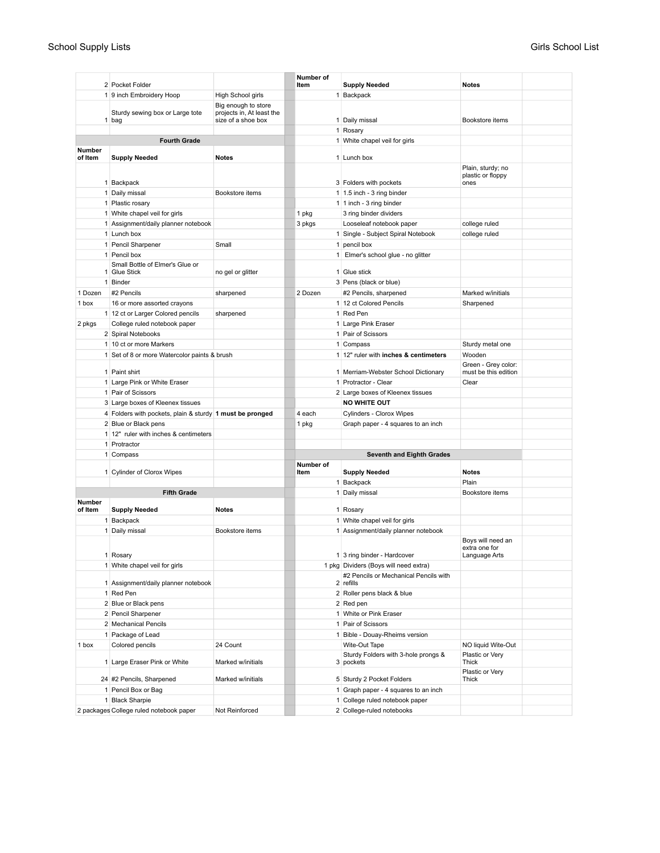|                   |                                                            |                                                                        | Number of |                                               |                                             |  |
|-------------------|------------------------------------------------------------|------------------------------------------------------------------------|-----------|-----------------------------------------------|---------------------------------------------|--|
|                   | 2 Pocket Folder                                            |                                                                        | Item      | <b>Supply Needed</b>                          | <b>Notes</b>                                |  |
|                   | 1 9 inch Embroidery Hoop                                   | High School girls                                                      |           | 1 Backpack                                    |                                             |  |
|                   | Sturdy sewing box or Large tote<br>1 bag                   | Big enough to store<br>projects in, At least the<br>size of a shoe box |           | 1 Daily missal                                | Bookstore items                             |  |
|                   |                                                            |                                                                        |           | 1 Rosary                                      |                                             |  |
|                   | <b>Fourth Grade</b>                                        |                                                                        |           | 1 White chapel veil for girls                 |                                             |  |
| Number<br>of Item | <b>Supply Needed</b>                                       | <b>Notes</b>                                                           |           | 1 Lunch box                                   |                                             |  |
|                   |                                                            |                                                                        |           |                                               | Plain, sturdy; no                           |  |
|                   |                                                            |                                                                        |           |                                               | plastic or floppy                           |  |
|                   | 1 Backpack                                                 |                                                                        |           | 3 Folders with pockets                        | ones                                        |  |
|                   | 1 Daily missal                                             | Bookstore items                                                        |           | 1   1.5 inch - 3 ring binder                  |                                             |  |
|                   | 1 Plastic rosary                                           |                                                                        |           | 1 1 inch - 3 ring binder                      |                                             |  |
|                   | 1 White chapel veil for girls                              |                                                                        | 1 pkg     | 3 ring binder dividers                        |                                             |  |
|                   | 1 Assignment/daily planner notebook                        |                                                                        | 3 pkgs    | Looseleaf notebook paper                      | college ruled                               |  |
|                   | 1 Lunch box                                                |                                                                        |           | 1 Single - Subject Spiral Notebook            | college ruled                               |  |
|                   | 1 Pencil Sharpener                                         | Small                                                                  |           | 1 pencil box                                  |                                             |  |
|                   | 1 Pencil box                                               |                                                                        |           | 1 Elmer's school glue - no glitter            |                                             |  |
|                   | Small Bottle of Elmer's Glue or                            |                                                                        |           |                                               |                                             |  |
|                   | 1 Glue Stick                                               | no gel or glitter                                                      |           | 1 Glue stick                                  |                                             |  |
|                   | 1 Binder                                                   |                                                                        |           | 3 Pens (black or blue)                        |                                             |  |
| 1 Dozen           | #2 Pencils                                                 | sharpened                                                              | 2 Dozen   | #2 Pencils, sharpened                         | Marked w/initials                           |  |
| 1 box             | 16 or more assorted crayons                                |                                                                        |           | 1 12 ct Colored Pencils                       | Sharpened                                   |  |
|                   | 1 12 ct or Larger Colored pencils                          | sharpened                                                              |           | 1 Red Pen                                     |                                             |  |
| 2 pkgs            | College ruled notebook paper                               |                                                                        |           | 1 Large Pink Eraser                           |                                             |  |
|                   | 2 Spiral Notebooks                                         |                                                                        |           | 1 Pair of Scissors                            |                                             |  |
|                   | 1 10 ct or more Markers                                    |                                                                        |           | 1 Compass                                     | Sturdy metal one                            |  |
|                   | 1 Set of 8 or more Watercolor paints & brush               |                                                                        |           | 1 12" ruler with inches & centimeters         | Wooden                                      |  |
|                   | 1 Paint shirt                                              |                                                                        |           | 1 Merriam-Webster School Dictionary           | Green - Grey color:<br>must be this edition |  |
|                   | 1 Large Pink or White Eraser                               |                                                                        |           | 1 Protractor - Clear                          | Clear                                       |  |
|                   | 1 Pair of Scissors                                         |                                                                        |           |                                               |                                             |  |
|                   |                                                            |                                                                        |           | 2 Large boxes of Kleenex tissues              |                                             |  |
|                   | 3 Large boxes of Kleenex tissues                           |                                                                        |           | <b>NO WHITE OUT</b>                           |                                             |  |
|                   | 4 Folders with pockets, plain & sturdy   1 must be pronged |                                                                        | 4 each    | Cylinders - Clorox Wipes                      |                                             |  |
|                   | 2 Blue or Black pens                                       |                                                                        | 1 pkg     | Graph paper - 4 squares to an inch            |                                             |  |
|                   | 1 12" ruler with inches & centimeters                      |                                                                        |           |                                               |                                             |  |
|                   | 1 Protractor                                               |                                                                        |           |                                               |                                             |  |
|                   | 1 Compass                                                  |                                                                        |           | <b>Seventh and Eighth Grades</b><br>Number of |                                             |  |
|                   | 1 Cylinder of Clorox Wipes                                 |                                                                        | Item      | <b>Supply Needed</b>                          | <b>Notes</b>                                |  |
|                   |                                                            |                                                                        |           | 1 Backpack                                    | Plain                                       |  |
|                   | <b>Fifth Grade</b>                                         |                                                                        |           | 1 Daily missal                                | Bookstore items                             |  |
| Number            |                                                            |                                                                        |           |                                               |                                             |  |
| of Item           | <b>Supply Needed</b>                                       | <b>Notes</b>                                                           |           | 1 Rosary                                      |                                             |  |
|                   | 1 Backpack                                                 |                                                                        |           | 1 White chapel veil for girls                 |                                             |  |
|                   | 1 Daily missal                                             | Bookstore items                                                        |           | 1 Assignment/daily planner notebook           |                                             |  |
|                   |                                                            |                                                                        |           |                                               | Boys will need an                           |  |
|                   | 1 Rosary                                                   |                                                                        |           | 1 3 ring binder - Hardcover                   | extra one for                               |  |
|                   | 1 White chapel veil for girls                              |                                                                        |           | 1 pkg Dividers (Boys will need extra)         | Language Arts                               |  |
|                   |                                                            |                                                                        |           | #2 Pencils or Mechanical Pencils with         |                                             |  |
|                   | 1 Assignment/daily planner notebook                        |                                                                        |           | 2 refills                                     |                                             |  |
|                   | 1 Red Pen                                                  |                                                                        |           | 2 Roller pens black & blue                    |                                             |  |
|                   | 2 Blue or Black pens                                       |                                                                        |           | 2 Red pen                                     |                                             |  |
|                   | 2 Pencil Sharpener                                         |                                                                        |           | 1 White or Pink Eraser                        |                                             |  |
|                   | 2 Mechanical Pencils                                       |                                                                        |           | 1 Pair of Scissors                            |                                             |  |
|                   | 1 Package of Lead                                          |                                                                        |           | 1 Bible - Douay-Rheims version                |                                             |  |
| 1 box             | Colored pencils                                            | 24 Count                                                               |           | Wite-Out Tape                                 | NO liquid Wite-Out                          |  |
|                   |                                                            |                                                                        |           | Sturdy Folders with 3-hole prongs &           | Plastic or Very                             |  |
|                   | 1 Large Eraser Pink or White                               | Marked w/initials                                                      |           | 3 pockets                                     | Thick                                       |  |
|                   |                                                            |                                                                        |           |                                               | Plastic or Very                             |  |
|                   | 24 #2 Pencils, Sharpened                                   | Marked w/initials                                                      |           | 5 Sturdy 2 Pocket Folders                     | Thick                                       |  |
|                   | 1 Pencil Box or Bag                                        |                                                                        |           | 1 Graph paper - 4 squares to an inch          |                                             |  |
|                   | 1 Black Sharpie                                            |                                                                        |           | 1 College ruled notebook paper                |                                             |  |
|                   | 2 packages College ruled notebook paper                    | Not Reinforced                                                         |           | 2 College-ruled notebooks                     |                                             |  |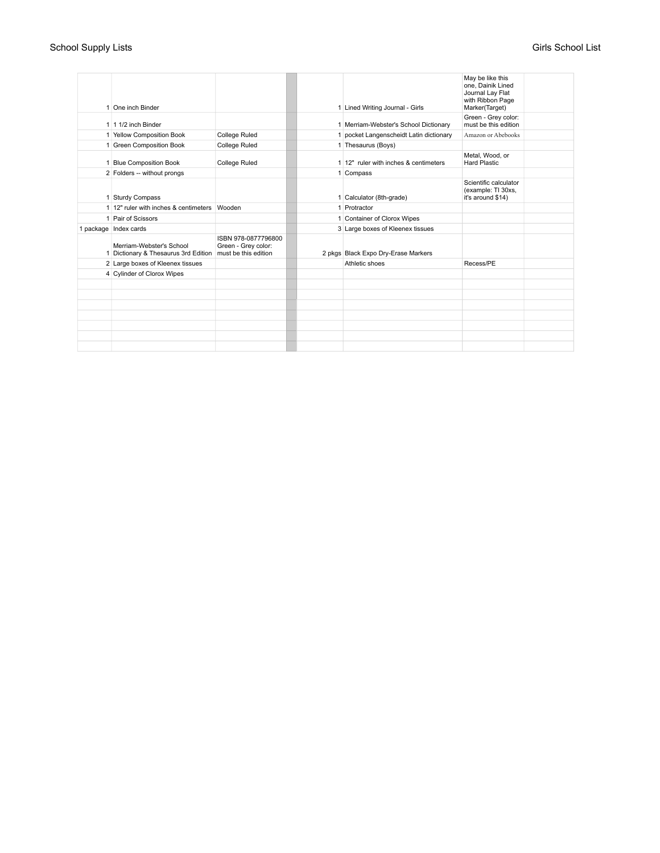## School Supply Lists Girls School List Girls School List

| 1 One inch Binder                                                                     |                                            |  | 1 Lined Writing Journal - Girls         | May be like this<br>one. Dainik Lined<br>Journal Lay Flat<br>with Ribbon Page<br>Marker(Target) |  |
|---------------------------------------------------------------------------------------|--------------------------------------------|--|-----------------------------------------|-------------------------------------------------------------------------------------------------|--|
| $1 \mid 1 \mid 1/2$ inch Binder                                                       |                                            |  | 1 Merriam-Webster's School Dictionary   | Green - Grey color:<br>must be this edition                                                     |  |
| 1 Yellow Composition Book                                                             | College Ruled                              |  | 1 pocket Langenscheidt Latin dictionary | Amazon or Abebooks                                                                              |  |
| 1 Green Composition Book                                                              | <b>College Ruled</b>                       |  | 1 Thesaurus (Boys)                      |                                                                                                 |  |
| 1 Blue Composition Book                                                               | <b>College Ruled</b>                       |  | 1 12" ruler with inches & centimeters   | Metal, Wood, or<br><b>Hard Plastic</b>                                                          |  |
| 2 Folders -- without prongs                                                           |                                            |  | 1 Compass                               |                                                                                                 |  |
| 1 Sturdy Compass                                                                      |                                            |  | 1 Calculator (8th-grade)                | Scientific calculator<br>(example: TI 30xs,<br>it's around \$14)                                |  |
| 1 12" ruler with inches & centimeters                                                 | Wooden                                     |  | 1 Protractor                            |                                                                                                 |  |
| 1 Pair of Scissors                                                                    |                                            |  | 1 Container of Clorox Wipes             |                                                                                                 |  |
| 1 package Index cards                                                                 |                                            |  | 3 Large boxes of Kleenex tissues        |                                                                                                 |  |
| Merriam-Webster's School<br>1 Dictionary & Thesaurus 3rd Edition must be this edition | ISBN 978-0877796800<br>Green - Grey color: |  | 2 pkgs Black Expo Dry-Erase Markers     |                                                                                                 |  |
| 2 Large boxes of Kleenex tissues                                                      |                                            |  | Athletic shoes                          | Recess/PE                                                                                       |  |
| 4 Cylinder of Clorox Wipes                                                            |                                            |  |                                         |                                                                                                 |  |
|                                                                                       |                                            |  |                                         |                                                                                                 |  |
|                                                                                       |                                            |  |                                         |                                                                                                 |  |
|                                                                                       |                                            |  |                                         |                                                                                                 |  |
|                                                                                       |                                            |  |                                         |                                                                                                 |  |
|                                                                                       |                                            |  |                                         |                                                                                                 |  |
|                                                                                       |                                            |  |                                         |                                                                                                 |  |
|                                                                                       |                                            |  |                                         |                                                                                                 |  |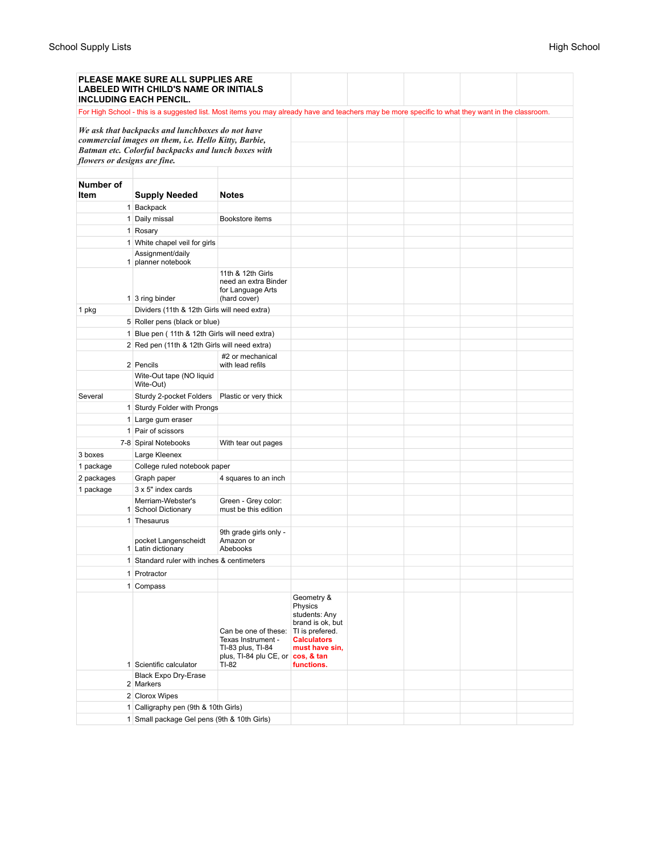|                                             | <b>PLEASE MAKE SURE ALL SUPPLIES ARE</b><br><b>LABELED WITH CHILD'S NAME OR INITIALS</b><br><b>INCLUDING EACH PENCIL.</b>                                       |                                                                                |                                                                                                     |  |  |
|---------------------------------------------|-----------------------------------------------------------------------------------------------------------------------------------------------------------------|--------------------------------------------------------------------------------|-----------------------------------------------------------------------------------------------------|--|--|
|                                             | For High School - this is a suggested list. Most items you may already have and teachers may be more specific to what they want in the classroom.               |                                                                                |                                                                                                     |  |  |
| flowers or designs are fine.                | We ask that backpacks and lunchboxes do not have<br>commercial images on them, i.e. Hello Kitty, Barbie,<br>Batman etc. Colorful backpacks and lunch boxes with |                                                                                |                                                                                                     |  |  |
| Number of<br>Item                           | <b>Supply Needed</b>                                                                                                                                            | <b>Notes</b>                                                                   |                                                                                                     |  |  |
|                                             | 1 Backpack                                                                                                                                                      |                                                                                |                                                                                                     |  |  |
|                                             | 1 Daily missal                                                                                                                                                  | Bookstore items                                                                |                                                                                                     |  |  |
|                                             | 1 Rosary                                                                                                                                                        |                                                                                |                                                                                                     |  |  |
|                                             | 1 White chapel veil for girls                                                                                                                                   |                                                                                |                                                                                                     |  |  |
|                                             | Assignment/daily                                                                                                                                                |                                                                                |                                                                                                     |  |  |
|                                             | 1 planner notebook                                                                                                                                              |                                                                                |                                                                                                     |  |  |
|                                             | 1 3 ring binder                                                                                                                                                 | 11th & 12th Girls<br>need an extra Binder<br>for Language Arts<br>(hard cover) |                                                                                                     |  |  |
| 1 pkg                                       | Dividers (11th & 12th Girls will need extra)                                                                                                                    |                                                                                |                                                                                                     |  |  |
|                                             | 5 Roller pens (black or blue)                                                                                                                                   |                                                                                |                                                                                                     |  |  |
|                                             | 1 Blue pen (11th & 12th Girls will need extra)                                                                                                                  |                                                                                |                                                                                                     |  |  |
|                                             | 2 Red pen (11th & 12th Girls will need extra)                                                                                                                   |                                                                                |                                                                                                     |  |  |
|                                             | 2 Pencils                                                                                                                                                       | #2 or mechanical<br>with lead refils                                           |                                                                                                     |  |  |
|                                             | Wite-Out tape (NO liquid<br>Wite-Out)                                                                                                                           |                                                                                |                                                                                                     |  |  |
| Several                                     | Sturdy 2-pocket Folders                                                                                                                                         | Plastic or very thick                                                          |                                                                                                     |  |  |
|                                             | 1 Sturdy Folder with Prongs                                                                                                                                     |                                                                                |                                                                                                     |  |  |
|                                             | 1 Large gum eraser                                                                                                                                              |                                                                                |                                                                                                     |  |  |
|                                             | 1 Pair of scissors                                                                                                                                              |                                                                                |                                                                                                     |  |  |
|                                             |                                                                                                                                                                 |                                                                                |                                                                                                     |  |  |
|                                             | 7-8 Spiral Notebooks                                                                                                                                            | With tear out pages                                                            |                                                                                                     |  |  |
| 3 boxes                                     | Large Kleenex                                                                                                                                                   |                                                                                |                                                                                                     |  |  |
| 1 package                                   | College ruled notebook paper                                                                                                                                    |                                                                                |                                                                                                     |  |  |
| 2 packages                                  | Graph paper                                                                                                                                                     | 4 squares to an inch                                                           |                                                                                                     |  |  |
| 1 package                                   | $3 \times 5$ " index cards                                                                                                                                      |                                                                                |                                                                                                     |  |  |
|                                             | Merriam-Webster's<br>1 School Dictionary                                                                                                                        | Green - Grey color:<br>must be this edition                                    |                                                                                                     |  |  |
|                                             | 1 Thesaurus                                                                                                                                                     |                                                                                |                                                                                                     |  |  |
|                                             | pocket Langenscheidt<br>1 Latin dictionary                                                                                                                      | 9th grade girls only -<br>Amazon or<br>Abebooks                                |                                                                                                     |  |  |
|                                             | 1 Standard ruler with inches & centimeters                                                                                                                      |                                                                                |                                                                                                     |  |  |
|                                             | 1 Protractor                                                                                                                                                    |                                                                                |                                                                                                     |  |  |
|                                             | 1 Compass                                                                                                                                                       |                                                                                |                                                                                                     |  |  |
|                                             |                                                                                                                                                                 | Can be one of these:<br>Texas Instrument -                                     | Geometry &<br>Physics<br>students: Any<br>brand is ok, but<br>TI is prefered.<br><b>Calculators</b> |  |  |
|                                             |                                                                                                                                                                 | TI-83 plus, TI-84<br>plus, TI-84 plu CE, or $\cos$ , & tan                     | must have sin,                                                                                      |  |  |
|                                             | 1 Scientific calculator                                                                                                                                         | TI-82                                                                          | functions.                                                                                          |  |  |
|                                             | <b>Black Expo Dry-Erase</b><br>2 Markers                                                                                                                        |                                                                                |                                                                                                     |  |  |
|                                             | 2 Clorox Wipes                                                                                                                                                  |                                                                                |                                                                                                     |  |  |
|                                             | 1 Calligraphy pen (9th & 10th Girls)                                                                                                                            |                                                                                |                                                                                                     |  |  |
| 1 Small package Gel pens (9th & 10th Girls) |                                                                                                                                                                 |                                                                                |                                                                                                     |  |  |